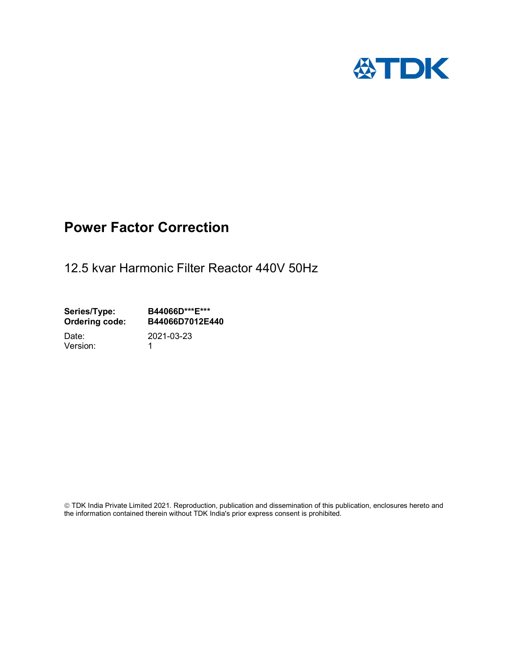

# Power Factor Correction

12.5 kvar Harmonic Filter Reactor 440V 50Hz

Series/Type: B44066D\*\*\*E\*\*\*<br>Ordering code: B44066D7012E4 B44066D7012E440 Date: 2021-03-23

Version: 1

 TDK India Private Limited 2021. Reproduction, publication and dissemination of this publication, enclosures hereto and the information contained therein without TDK India's prior express consent is prohibited.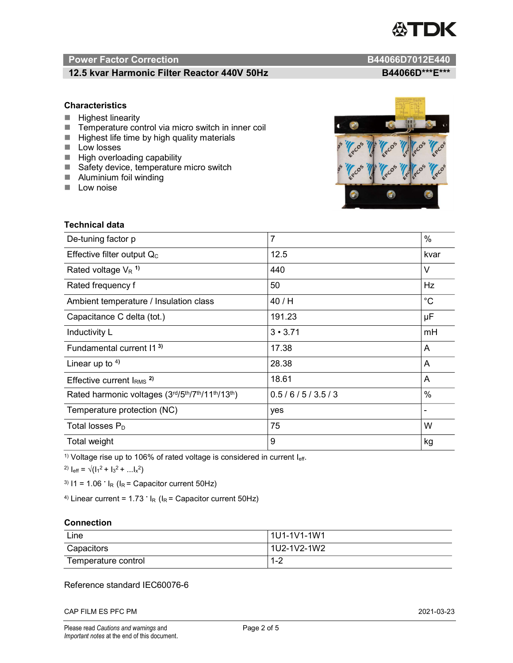

# Power Factor Correction and Content of the Content of the B44066D7012E440

# 12.5 kvar Harmonic Filter Reactor 440V 50Hz B44066D\*\*\*E\*\*\*

### **Characteristics**

- $H$  Highest linearity
- Temperature control via micro switch in inner coil
- $\blacksquare$  Highest life time by high quality materials
- **Low losses**
- $\blacksquare$  High overloading capability
- Safety device, temperature micro switch
- **Aluminium foil winding**
- **Low noise**



| Technical data                                  |                |             |  |
|-------------------------------------------------|----------------|-------------|--|
| De-tuning factor p                              | $\overline{7}$ | %           |  |
| Effective filter output $Q_C$                   | 12.5           | kvar        |  |
| Rated voltage $V_R$ <sup>1)</sup>               | 440            | V           |  |
| Rated frequency f                               | 50             | Hz          |  |
| Ambient temperature / Insulation class          | 40 / H         | $^{\circ}C$ |  |
| Capacitance C delta (tot.)                      | 191.23         | μF          |  |
| Inductivity L                                   | $3 \cdot 3.71$ | mH          |  |
| Fundamental current 11 <sup>3)</sup>            | 17.38          | A           |  |
| Linear up to $4$ )                              | 28.38          | A           |  |
| Effective current $IRMS$ <sup>2)</sup>          | 18.61          | A           |  |
| Rated harmonic voltages (3rd/5th/7th/11th/13th) | 0.5/6/5/3.5/3  | $\%$        |  |
| Temperature protection (NC)                     | yes            |             |  |
| Total losses $P_D$                              | 75             | W           |  |
| Total weight                                    | 9              | kg          |  |

<sup>1)</sup> Voltage rise up to 106% of rated voltage is considered in current  $I_{\text{eff}}$ .

<sup>2)</sup>  $I_{eff} = \sqrt{(I_1^2 + I_3^2 + ... I_x^2)}$ 

<sup>3)</sup>  $11 = 1.06$   $\cdot$   $I_R$  ( $I_R$  = Capacitor current 50Hz)

<sup>4)</sup> Linear current =  $1.73$   $\cdot$  I<sub>R</sub> (I<sub>R</sub> = Capacitor current 50Hz)

#### **Connection**

| Line                | l 1U1-1V1-1W1       |
|---------------------|---------------------|
| Capacitors          | l 1U2-1V2-1W2       |
| Temperature control | <u> 4 ຕ</u><br>ے- ا |

# Reference standard IEC60076-6

CAP FILM ES PFC PM 2021-03-23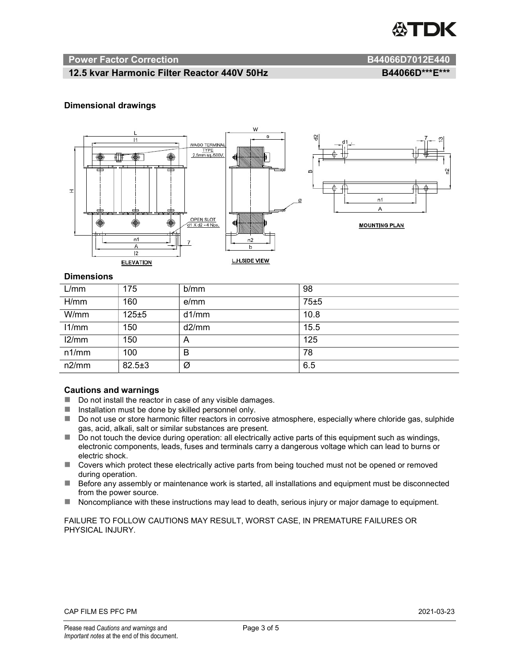

#### Power Factor Correction **B44066D7012E440**

### 12.5 kvar Harmonic Filter Reactor 440V 50Hz BA4066D\*\*\*E\*\*\*

#### Dimensional drawings



#### **Dimensions**

| L/mm  | 175          | b/mm  | 98   |
|-------|--------------|-------|------|
| H/mm  | 160          | e/mm  | 75±5 |
| W/mm  | 125±5        | d1/mm | 10.8 |
| 11/mm | 150          | d2/mm | 15.5 |
| 12/mm | 150          | A     | 125  |
| n1/mm | 100          | B     | 78   |
| n2/mm | $82.5 \pm 3$ | Ø     | 6.5  |

#### Cautions and warnings

- Do not install the reactor in case of any visible damages.
- $\blacksquare$  Installation must be done by skilled personnel only.
- Do not use or store harmonic filter reactors in corrosive atmosphere, especially where chloride gas, sulphide gas, acid, alkali, salt or similar substances are present.
- Do not touch the device during operation: all electrically active parts of this equipment such as windings, electronic components, leads, fuses and terminals carry a dangerous voltage which can lead to burns or electric shock.
- Covers which protect these electrically active parts from being touched must not be opened or removed during operation.
- Before any assembly or maintenance work is started, all installations and equipment must be disconnected from the power source.
- Noncompliance with these instructions may lead to death, serious injury or major damage to equipment.

FAILURE TO FOLLOW CAUTIONS MAY RESULT, WORST CASE, IN PREMATURE FAILURES OR PHYSICAL INJURY.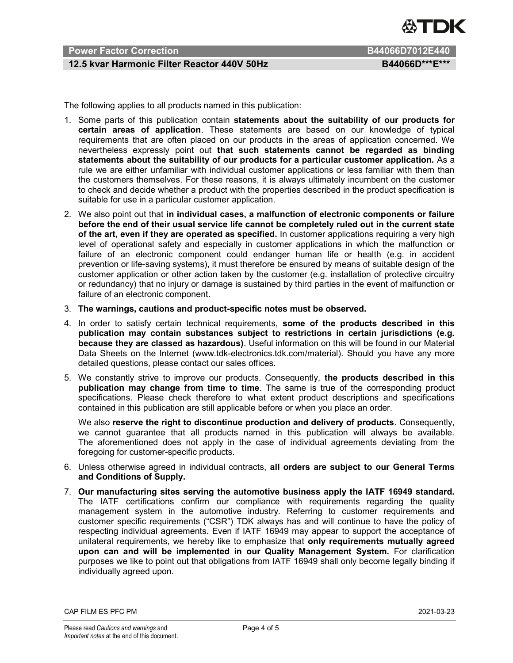

# Power Factor Correction **B644066D7012E440**

## 12.5 kvar Harmonic Filter Reactor 440V 50Hz BA4066D\*\*\*E\*\*\*

The following applies to all products named in this publication:

- 1. Some parts of this publication contain statements about the suitability of our products for certain areas of application. These statements are based on our knowledge of typical requirements that are often placed on our products in the areas of application concerned. We nevertheless expressly point out that such statements cannot be regarded as binding statements about the suitability of our products for a particular customer application. As a rule we are either unfamiliar with individual customer applications or less familiar with them than the customers themselves. For these reasons, it is always ultimately incumbent on the customer to check and decide whether a product with the properties described in the product specification is suitable for use in a particular customer application.
- 2. We also point out that in individual cases, a malfunction of electronic components or failure before the end of their usual service life cannot be completely ruled out in the current state of the art, even if they are operated as specified. In customer applications requiring a very high level of operational safety and especially in customer applications in which the malfunction or failure of an electronic component could endanger human life or health (e.g. in accident prevention or life-saving systems), it must therefore be ensured by means of suitable design of the customer application or other action taken by the customer (e.g. installation of protective circuitry or redundancy) that no injury or damage is sustained by third parties in the event of malfunction or failure of an electronic component.
- 3. The warnings, cautions and product-specific notes must be observed.
- 4. In order to satisfy certain technical requirements, some of the products described in this publication may contain substances subject to restrictions in certain jurisdictions (e.g. because they are classed as hazardous). Useful information on this will be found in our Material Data Sheets on the Internet (www.tdk-electronics.tdk.com/material). Should you have any more detailed questions, please contact our sales offices.
- 5. We constantly strive to improve our products. Consequently, the products described in this publication may change from time to time. The same is true of the corresponding product specifications. Please check therefore to what extent product descriptions and specifications contained in this publication are still applicable before or when you place an order.

We also reserve the right to discontinue production and delivery of products. Consequently, we cannot guarantee that all products named in this publication will always be available. The aforementioned does not apply in the case of individual agreements deviating from the foregoing for customer-specific products.

- 6. Unless otherwise agreed in individual contracts, all orders are subject to our General Terms and Conditions of Supply.
- 7. Our manufacturing sites serving the automotive business apply the IATF 16949 standard. The IATF certifications confirm our compliance with requirements regarding the quality management system in the automotive industry. Referring to customer requirements and customer specific requirements ("CSR") TDK always has and will continue to have the policy of respecting individual agreements. Even if IATF 16949 may appear to support the acceptance of unilateral requirements, we hereby like to emphasize that only requirements mutually agreed upon can and will be implemented in our Quality Management System. For clarification purposes we like to point out that obligations from IATF 16949 shall only become legally binding if individually agreed upon.